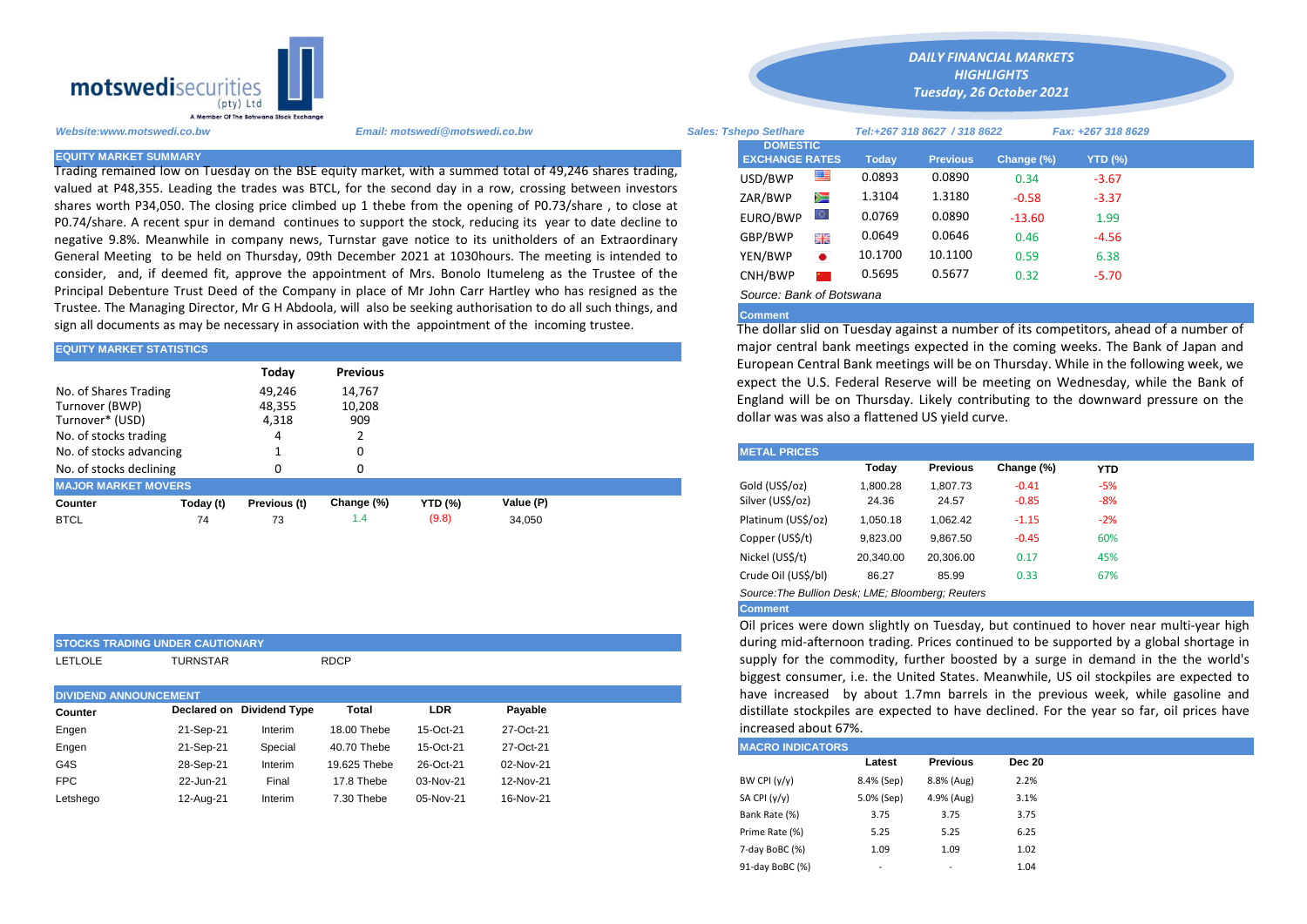

Trading remained low on Tuesday on the BSE equity market, with a summed total of 49,246 shares trading, valued at P48,355. Leading the trades was BTCL, for the second day in a row, crossing between investors shares worth P34,050. The closing price climbed up 1 thebe from the opening of P0.73/share , to close at P0.74/share. A recent spur in demand continues to support the stock, reducing its year to date decline to negative 9.8%. Meanwhile in company news, Turnstar gave notice to its unitholders of an Extraordinary General Meeting to be held on Thursday, 09th December 2021 at 1030hours. The meeting is intended to consider, and, if deemed fit, approve the appointment of Mrs. Bonolo Itumeleng as the Trustee of the Principal Debenture Trust Deed of the Company in place of Mr John Carr Hartley who has resigned as the Trustee. The Managing Director, Mr G H Abdoola, will also be seeking authorisation to do all such things, and sign all documents as may be necessary in association with the appointment of the incoming trustee.

### **EQUITY MARKET STATISTICS**

**STOCKS TRADING UNDER CAUTIONARY**

|                                   |                  | Today           | <b>Previous</b> |                |           |                                                                                                                                            | European Central Bank meetings will be on Thursday. While in the follo |                     |          |                 |            |            |  |  |
|-----------------------------------|------------------|-----------------|-----------------|----------------|-----------|--------------------------------------------------------------------------------------------------------------------------------------------|------------------------------------------------------------------------|---------------------|----------|-----------------|------------|------------|--|--|
| No. of Shares Trading             | 49,246<br>14,767 |                 |                 |                |           | expect the U.S. Federal Reserve will be meeting on Wednesday, wh<br>England will be on Thursday. Likely contributing to the downward post- |                                                                        |                     |          |                 |            |            |  |  |
| Turnover (BWP)<br>Turnover* (USD) |                  | 48,355<br>4,318 | 10,208<br>909   |                |           |                                                                                                                                            | dollar was was also a flattened US yield curve.                        |                     |          |                 |            |            |  |  |
| No. of stocks trading             |                  |                 |                 |                |           |                                                                                                                                            |                                                                        |                     |          |                 |            |            |  |  |
| No. of stocks advancing           |                  |                 |                 |                |           |                                                                                                                                            |                                                                        | <b>METAL PRICES</b> |          |                 |            |            |  |  |
| No. of stocks declining           |                  | 0               |                 |                |           |                                                                                                                                            |                                                                        |                     | Today    | <b>Previous</b> | Change (%) | <b>YTD</b> |  |  |
| <b>MAJOR MARKET MOVERS</b>        |                  |                 |                 |                |           |                                                                                                                                            |                                                                        | Gold (US\$/oz)      | 1.800.28 | 1.807.73        | $-0.41$    | $-5%$      |  |  |
| Counter                           | Today (t)        | Previous (t)    | Change (%)      | <b>YTD (%)</b> | Value (P) |                                                                                                                                            |                                                                        | Silver (US\$/oz)    | 24.36    | 24.57           | $-0.85$    | $-8%$      |  |  |
| <b>BTCL</b>                       | 74               | 73              | 1.4             | (9.8)          | 34.050    |                                                                                                                                            |                                                                        | Platinum (US\$/oz)  | 1.050.18 | 1.062.42        | $-1.15$    | $-2%$      |  |  |

|                              | ISTOCKS TRADING UNDER CAUTIONART |                           |              |            |                                                                                                           | admig mo-artempon trading. Frites continued to b     |
|------------------------------|----------------------------------|---------------------------|--------------|------------|-----------------------------------------------------------------------------------------------------------|------------------------------------------------------|
| <b>LETLOLE</b>               | <b>TURNSTAR</b>                  |                           | <b>RDCP</b>  |            | supply for the commodity, further boosted by a se-<br>biggest consumer, i.e. the United States. Meanwhile |                                                      |
| <b>DIVIDEND ANNOUNCEMENT</b> |                                  |                           |              |            |                                                                                                           | have increased by about 1.7mn barrels in the p       |
| Counter                      |                                  | Declared on Dividend Type | Total        | <b>LDR</b> | Payable                                                                                                   | distillate stockpiles are expected to have declined. |
| Engen                        | 21-Sep-21                        | Interim                   | 18.00 Thebe  | 15-Oct-21  | 27-Oct-21                                                                                                 | increased about 67%.                                 |
| Engen                        | 21-Sep-21                        | Special                   | 40.70 Thebe  | 15-Oct-21  | 27-Oct-21                                                                                                 | <b>MACRO INDICATORS</b>                              |
| G4S                          | 28-Sep-21                        | Interim                   | 19.625 Thebe | 26-Oct-21  | 02-Nov-21                                                                                                 | Dec 20<br><b>Previous</b><br>Latest                  |
| <b>FPC</b>                   | 22-Jun-21                        | Final                     | 17.8 Thebe   | 03-Nov-21  | 12-Nov-21                                                                                                 | 2.2%<br>8.8% (Aug)<br>BW CPI (y/y)<br>8.4% (Sep)     |
| Letshego                     | 12-Aug-21                        | Interim                   | 7.30 Thebe   | 05-Nov-21  | 16-Nov-21                                                                                                 | SA CPI (y/y)<br>3.1%<br>4.9% (Aug)<br>5.0% (Sep)     |

*Website:www.motswedi.co.bw Email: motswedi@motswedi.co.bw Sales: Tshepo Setlhare Tel:+267 318 8627 / 318 8622 Fax: +267 318 8629*  **EQUITY MARKET SUMMARY Today Previous Change (%) YTD (%)**  $\overline{UD}/BWP$   $\overline{III}$  0.0893 0.0890 0.34 -3.67 ZAR/BWP 1.3104 1.3180 -0.58 -3.37 EURO/BWP 0 0.0769 0.0890 -13.60 1.99 GBP/BWP **ELE** 0.0649 0.0646 0.46 -4.56 YEN/BWP 10.1700 10.1100 0.59 6.38 CNH/BWP 0.5695 0.5677 0.32 -5.70 **DOMESTIC EXCHANGE RATES**

*DAILY FINANCIAL MARKETS HIGHLIGHTS Tuesday, 26 October 2021* 

# *Source: Bank of Botswana*

## **Comment**

The dollar slid on Tuesday against a number of its competitors, ahead of a number of major central bank meetings expected in the coming weeks. The Bank of Japan and European Central Bank meetings will be on Thursday. While in the following week, we expect the U.S. Federal Reserve will be meeting on Wednesday, while the Bank of England will be on Thursday. Likely contributing to the downward pressure on the dollar was was also a flattened US yield curve.

| <b>METAL PRICES</b>                               |           |                 |            |            |  |
|---------------------------------------------------|-----------|-----------------|------------|------------|--|
|                                                   | Today     | <b>Previous</b> | Change (%) | <b>YTD</b> |  |
| Gold (US\$/oz)                                    | 1.800.28  | 1.807.73        | $-0.41$    | $-5%$      |  |
| Silver (US\$/oz)                                  | 24.36     | 24.57           | $-0.85$    | -8%        |  |
| Platinum (US\$/oz)                                | 1,050.18  | 1.062.42        | $-1.15$    | $-2%$      |  |
| Copper (US\$/t)                                   | 9,823.00  | 9.867.50        | $-0.45$    | 60%        |  |
| Nickel (US\$/t)                                   | 20,340.00 | 20.306.00       | 0.17       | 45%        |  |
| Crude Oil (US\$/bl)                               | 86.27     | 85.99           | 0.33       | 67%        |  |
| Source: The Bullion Desk: LME: Bloombera: Reuters |           |                 |            |            |  |

#### **Comment**

Oil prices were down slightly on Tuesday, but continued to hover near multi-year high during mid-afternoon trading. Prices continued to be supported by a global shortage in supply for the commodity, further boosted by a surge in demand in the the world's biggest consumer, i.e. the United States. Meanwhile, US oil stockpiles are expected to have increased by about 1.7mn barrels in the previous week, while gasoline and distillate stockpiles are expected to have declined. For the year so far, oil prices have increased about 67%.

|                 | <b>MACRO INDICATORS</b> |                 |               |  |  |  |  |  |  |  |
|-----------------|-------------------------|-----------------|---------------|--|--|--|--|--|--|--|
|                 | Latest                  | <b>Previous</b> | <b>Dec 20</b> |  |  |  |  |  |  |  |
| BW CPI $(y/y)$  | 8.4% (Sep)              | 8.8% (Aug)      | 2.2%          |  |  |  |  |  |  |  |
| SA CPI (y/y)    | 5.0% (Sep)              | 4.9% (Aug)      | 3.1%          |  |  |  |  |  |  |  |
| Bank Rate (%)   | 3.75                    | 3.75            | 3.75          |  |  |  |  |  |  |  |
| Prime Rate (%)  | 5.25                    | 5.25            | 6.25          |  |  |  |  |  |  |  |
| 7-day BoBC (%)  | 1.09                    | 1.09            | 1.02          |  |  |  |  |  |  |  |
| 91-day BoBC (%) | ٠                       | ٠               | 1.04          |  |  |  |  |  |  |  |